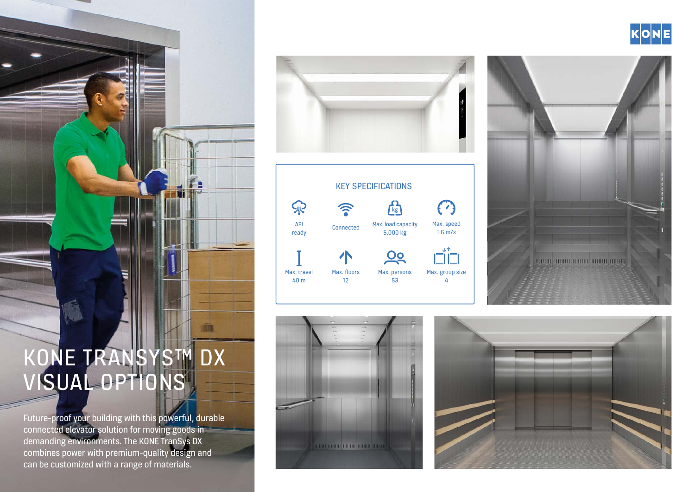

Future-proof your building with this powerful, durable connected elevator solution for moving goods in demanding environments. The KONE TranSys DX combines power with premium-quality design and can be customized with a range of materials.